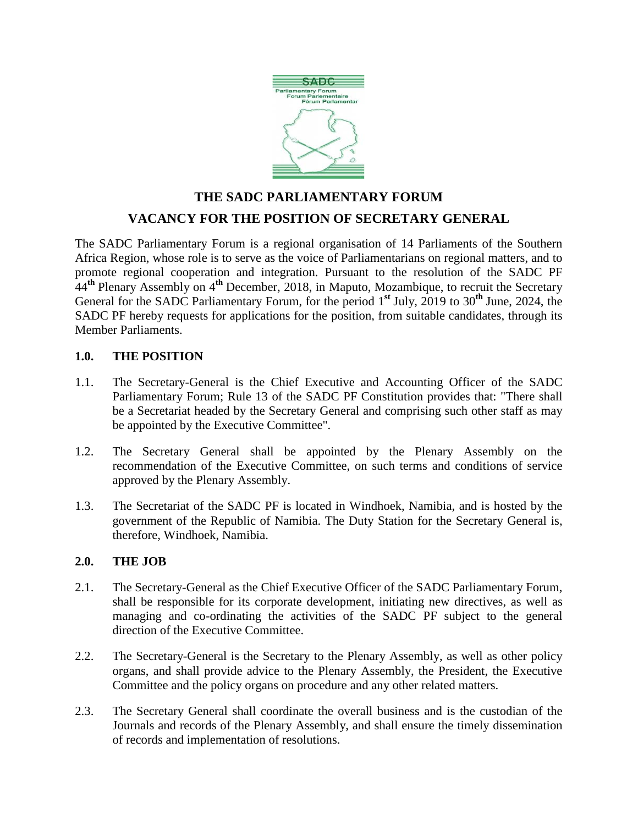

# **THE SADC PARLIAMENTARY FORUM VACANCY FOR THE POSITION OF SECRETARY GENERAL**

The SADC Parliamentary Forum is a regional organisation of 14 Parliaments of the Southern Africa Region, whose role is to serve as the voice of Parliamentarians on regional matters, and to promote regional cooperation and integration. Pursuant to the resolution of the SADC PF 44**th** Plenary Assembly on 4**th** December, 2018, in Maputo, Mozambique, to recruit the Secretary General for the SADC Parliamentary Forum, for the period 1**st** July, 2019 to 30**th** June, 2024, the SADC PF hereby requests for applications for the position, from suitable candidates, through its Member Parliaments.

# **1.0. THE POSITION**

- 1.1. The Secretary-General is the Chief Executive and Accounting Officer of the SADC Parliamentary Forum; Rule 13 of the SADC PF Constitution provides that: "There shall be a Secretariat headed by the Secretary General and comprising such other staff as may be appointed by the Executive Committee".
- 1.2. The Secretary General shall be appointed by the Plenary Assembly on the recommendation of the Executive Committee, on such terms and conditions of service approved by the Plenary Assembly.
- 1.3. The Secretariat of the SADC PF is located in Windhoek, Namibia, and is hosted by the government of the Republic of Namibia. The Duty Station for the Secretary General is, therefore, Windhoek, Namibia.

# **2.0. THE JOB**

- 2.1. The Secretary-General as the Chief Executive Officer of the SADC Parliamentary Forum, shall be responsible for its corporate development, initiating new directives, as well as managing and co-ordinating the activities of the SADC PF subject to the general direction of the Executive Committee.
- 2.2. The Secretary-General is the Secretary to the Plenary Assembly, as well as other policy organs, and shall provide advice to the Plenary Assembly, the President, the Executive Committee and the policy organs on procedure and any other related matters.
- 2.3. The Secretary General shall coordinate the overall business and is the custodian of the Journals and records of the Plenary Assembly, and shall ensure the timely dissemination of records and implementation of resolutions.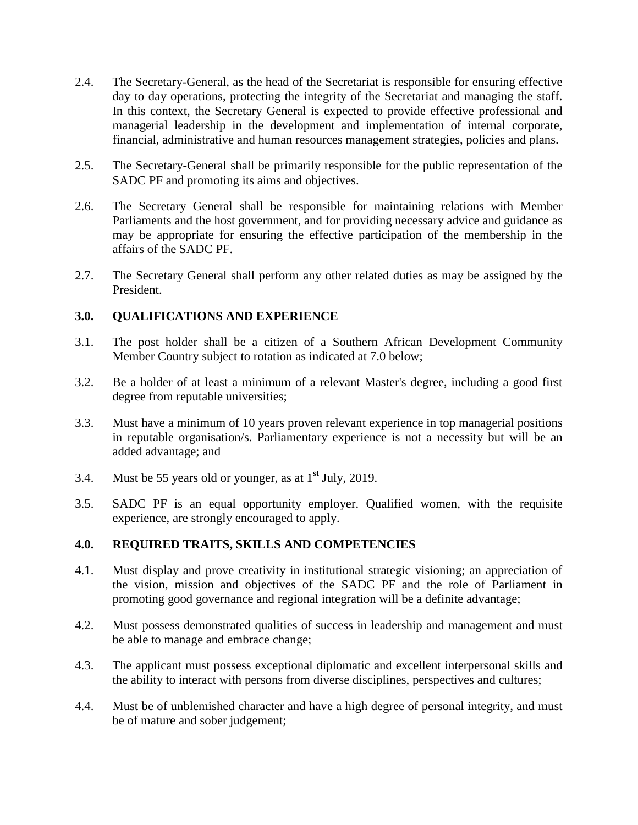- 2.4. The Secretary-General, as the head of the Secretariat is responsible for ensuring effective day to day operations, protecting the integrity of the Secretariat and managing the staff. In this context, the Secretary General is expected to provide effective professional and managerial leadership in the development and implementation of internal corporate, financial, administrative and human resources management strategies, policies and plans.
- 2.5. The Secretary-General shall be primarily responsible for the public representation of the SADC PF and promoting its aims and objectives.
- 2.6. The Secretary General shall be responsible for maintaining relations with Member Parliaments and the host government, and for providing necessary advice and guidance as may be appropriate for ensuring the effective participation of the membership in the affairs of the SADC PF.
- 2.7. The Secretary General shall perform any other related duties as may be assigned by the President.

## **3.0. QUALIFICATIONS AND EXPERIENCE**

- 3.1. The post holder shall be a citizen of a Southern African Development Community Member Country subject to rotation as indicated at 7.0 below;
- 3.2. Be a holder of at least a minimum of a relevant Master's degree, including a good first degree from reputable universities;
- 3.3. Must have a minimum of 10 years proven relevant experience in top managerial positions in reputable organisation/s. Parliamentary experience is not a necessity but will be an added advantage; and
- 3.4. Must be 55 years old or younger, as at 1**st** July, 2019.
- 3.5. SADC PF is an equal opportunity employer. Qualified women, with the requisite experience, are strongly encouraged to apply.

# **4.0. REQUIRED TRAITS, SKILLS AND COMPETENCIES**

- 4.1. Must display and prove creativity in institutional strategic visioning; an appreciation of the vision, mission and objectives of the SADC PF and the role of Parliament in promoting good governance and regional integration will be a definite advantage;
- 4.2. Must possess demonstrated qualities of success in leadership and management and must be able to manage and embrace change;
- 4.3. The applicant must possess exceptional diplomatic and excellent interpersonal skills and the ability to interact with persons from diverse disciplines, perspectives and cultures;
- 4.4. Must be of unblemished character and have a high degree of personal integrity, and must be of mature and sober judgement;